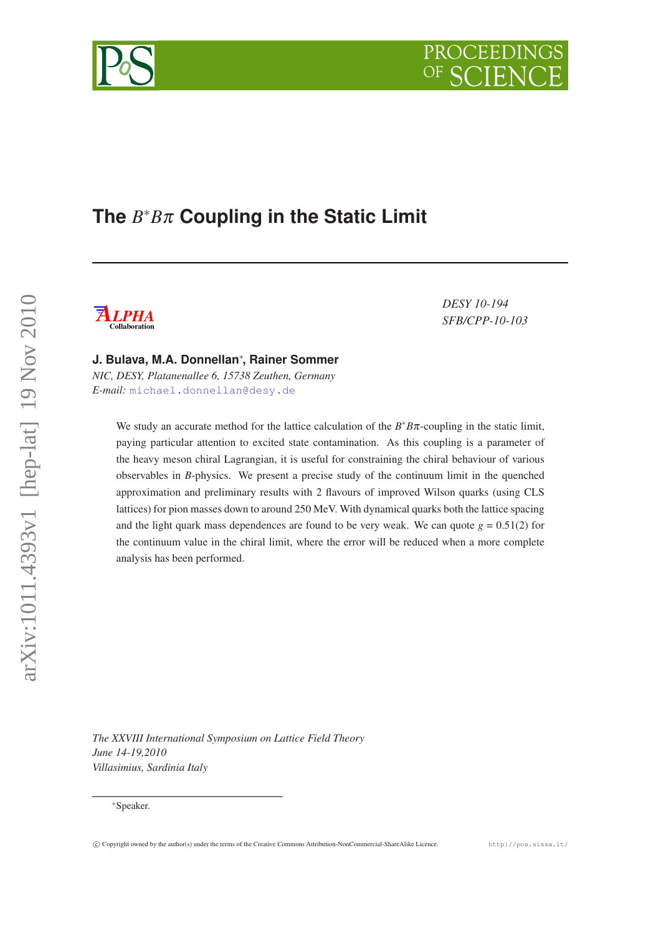# **The** *B* <sup>∗</sup>*B*π **Coupling in the Static Limit**



*DESY 10-194 SFB/CPP-10-103*

PROCEEDINGS

**J. Bulava, M.A. Donnellan**<sup>∗</sup> **, Rainer Sommer**

*NIC, DESY, Platanenallee 6, 15738 Zeuthen, Germany E-mail:* [michael.donnellan@desy.de](mailto:michael.donnellan@desy.de)

> We study an accurate method for the lattice calculation of the  $B^*B\pi$ -coupling in the static limit, paying particular attention to excited state contamination. As this coupling is a parameter of the heavy meson chiral Lagrangian, it is useful for constraining the chiral behaviour of various observables in *B*-physics. We present a precise study of the continuum limit in the quenched approximation and preliminary results with 2 flavours of improved Wilson quarks (using CLS lattices) for pion masses down to around 250 MeV. With dynamical quarks both the lattice spacing and the light quark mass dependences are found to be very weak. We can quote  $g = 0.51(2)$  for the continuum value in the chiral limit, where the error will be reduced when a more complete analysis has been performed.

*The XXVIII International Symposium on Lattice Field Theory June 14-19,2010 Villasimius, Sardinia Italy*

<sup>∗</sup>Speaker.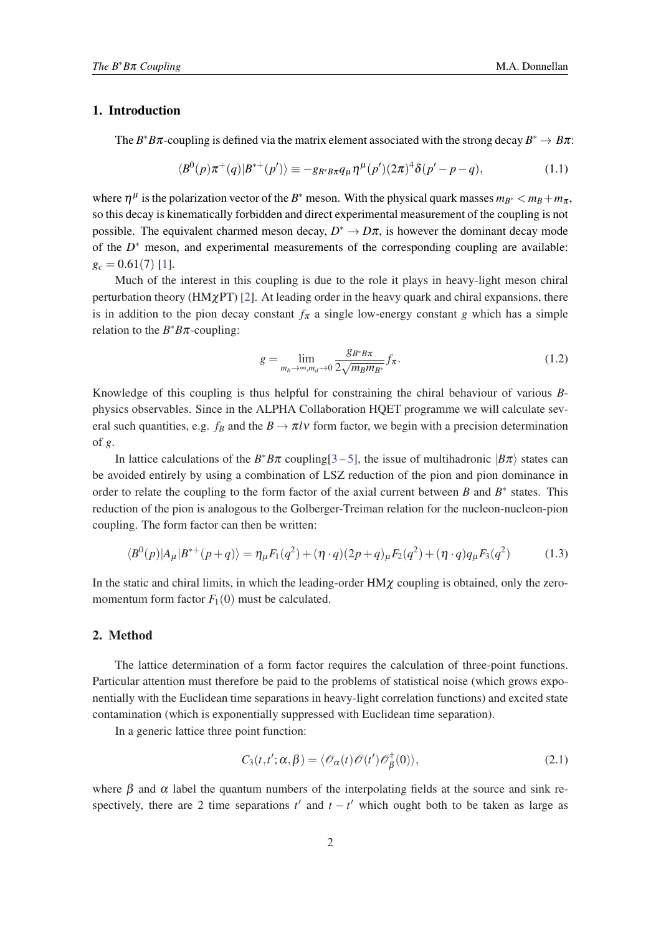## 1. Introduction

The  $B^*B\pi$ -coupling is defined via the matrix element associated with the strong decay  $B^* \to B\pi$ :

$$
\langle B^{0}(p)\pi^{+}(q)|B^{*+}(p')\rangle \equiv -g_{B^{*}B\pi}q_{\mu}\eta^{\mu}(p')(2\pi)^{4}\delta(p'-p-q), \qquad (1.1)
$$

where  $\eta^{\mu}$  is the polarization vector of the *B*<sup>∗</sup> meson. With the physical quark masses  $m_{B^*} < m_B + m_\pi$ , so this decay is kinematically forbidden and direct experimental measurement of the coupling is not possible. The equivalent charmed meson decay,  $D^* \to D\pi$ , is however the dominant decay mode of the  $D^*$  meson, and experimental measurements of the corresponding coupling are available:  $g_c = 0.61(7)$  $g_c = 0.61(7)$  $g_c = 0.61(7)$  [1].

Much of the interest in this coupling is due to the role it plays in heavy-light meson chiral perturbation theory (HM $\chi$ PT) [\[2\]](#page-6-0). At leading order in the heavy quark and chiral expansions, there is in addition to the pion decay constant  $f_{\pi}$  a single low-energy constant *g* which has a simple relation to the  $B^*B\pi$ -coupling:

$$
g = \lim_{m_b \to \infty, m_d \to 0} \frac{g_{B^*B\pi}}{2\sqrt{m_B m_{B^*}}} f_\pi.
$$
 (1.2)

Knowledge of this coupling is thus helpful for constraining the chiral behaviour of various *B*physics observables. Since in the ALPHA Collaboration HQET programme we will calculate several such quantities, e.g.  $f_B$  and the  $B \to \pi l \nu$  form factor, we begin with a precision determination of *g*.

In lattice calculations of the  $B^*B\pi$  coupling[[3](#page-6-0) – [5\]](#page-6-0), the issue of multihadronic  $|B\pi\rangle$  states can be avoided entirely by using a combination of LSZ reduction of the pion and pion dominance in order to relate the coupling to the form factor of the axial current between  $B$  and  $B^*$  states. This reduction of the pion is analogous to the Golberger-Treiman relation for the nucleon-nucleon-pion coupling. The form factor can then be written:

$$
\langle B^{0}(p)|A_{\mu}|B^{*+}(p+q)\rangle = \eta_{\mu}F_{1}(q^{2}) + (\eta \cdot q)(2p+q)_{\mu}F_{2}(q^{2}) + (\eta \cdot q)q_{\mu}F_{3}(q^{2})
$$
(1.3)

In the static and chiral limits, in which the leading-order  $HM\chi$  coupling is obtained, only the zeromomentum form factor  $F_1(0)$  must be calculated.

#### 2. Method

The lattice determination of a form factor requires the calculation of three-point functions. Particular attention must therefore be paid to the problems of statistical noise (which grows exponentially with the Euclidean time separations in heavy-light correlation functions) and excited state contamination (which is exponentially suppressed with Euclidean time separation).

In a generic lattice three point function:

$$
C_3(t,t';\alpha,\beta) = \langle \mathcal{O}_{\alpha}(t) \mathcal{O}(t') \mathcal{O}_{\beta}^{\dagger}(0) \rangle, \qquad (2.1)
$$

where  $\beta$  and  $\alpha$  label the quantum numbers of the interpolating fields at the source and sink respectively, there are 2 time separations  $t'$  and  $t - t'$  which ought both to be taken as large as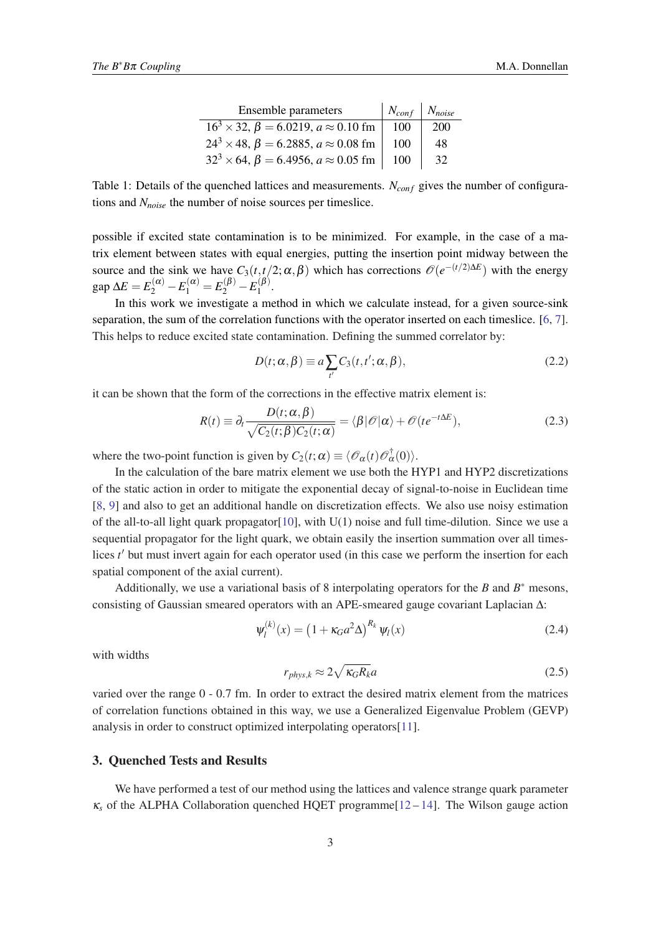| <b>Ensemble parameters</b>                                | $\mid N_{conf} \mid N_{noise}$ |     |
|-----------------------------------------------------------|--------------------------------|-----|
| $16^3 \times 32$ , $\beta = 6.0219$ , $a \approx 0.10$ fm | 100                            | 200 |
| $24^3 \times 48$ , $\beta = 6.2885$ , $a \approx 0.08$ fm | 100                            | 48  |
| $32^3 \times 64$ , $\beta = 6.4956$ , $a \approx 0.05$ fm | 100                            | 32  |

<span id="page-2-0"></span>Table 1: Details of the quenched lattices and measurements. *N<sub>conf</sub>* gives the number of configurations and *Nnoise* the number of noise sources per timeslice.

possible if excited state contamination is to be minimized. For example, in the case of a matrix element between states with equal energies, putting the insertion point midway between the source and the sink we have  $C_3(t,t/2;\alpha,\beta)$  which has corrections  $\mathcal{O}(e^{-(t/2)\Delta E})$  with the energy  $\log \Delta E = E_2^{(\alpha)} - E_1^{(\alpha)} = E_2^{(\beta)} - E_1^{(\beta)}$  $\binom{(p)}{1}$ .

In this work we investigate a method in which we calculate instead, for a given source-sink separation, the sum of the correlation functions with the operator inserted on each timeslice. [\[6,](#page-6-0) [7\]](#page-6-0). This helps to reduce excited state contamination. Defining the summed correlator by:

$$
D(t; \alpha, \beta) \equiv a \sum_{t'} C_3(t, t'; \alpha, \beta), \qquad (2.2)
$$

it can be shown that the form of the corrections in the effective matrix element is:

$$
R(t) \equiv \partial_t \frac{D(t; \alpha, \beta)}{\sqrt{C_2(t; \beta)C_2(t; \alpha)}} = \langle \beta | \mathcal{O} | \alpha \rangle + \mathcal{O}(te^{-t\Delta E}), \tag{2.3}
$$

where the two-point function is given by  $C_2(t; \alpha) \equiv \langle \mathcal{O}_{\alpha}(t) \mathcal{O}_{\alpha}^{\dagger}(0) \rangle$ .

In the calculation of the bare matrix element we use both the HYP1 and HYP2 discretizations of the static action in order to mitigate the exponential decay of signal-to-noise in Euclidean time [[8](#page-6-0), [9\]](#page-6-0) and also to get an additional handle on discretization effects. We also use noisy estimation of the all-to-all light quark propagator [[10\]](#page-6-0), with  $U(1)$  noise and full time-dilution. Since we use a sequential propagator for the light quark, we obtain easily the insertion summation over all timeslices *t'* but must invert again for each operator used (in this case we perform the insertion for each spatial component of the axial current).

Additionally, we use a variational basis of 8 interpolating operators for the  $B$  and  $B^*$  mesons, consisting of Gaussian smeared operators with an APE-smeared gauge covariant Laplacian ∆:

$$
\psi_l^{(k)}(x) = \left(1 + \kappa_G a^2 \Delta\right)^{R_k} \psi_l(x) \tag{2.4}
$$

with widths

$$
r_{phys,k} \approx 2\sqrt{\kappa_G R_k}a\tag{2.5}
$$

varied over the range 0 - 0.7 fm. In order to extract the desired matrix element from the matrices of correlation functions obtained in this way, we use a Generalized Eigenvalue Problem (GEVP) analysis in order to construct optimized interpolating operators[\[11](#page-6-0)].

## 3. Quenched Tests and Results

We have performed a test of our method using the lattices and valence strange quark parameter  $\kappa_s$  of the ALPHA Collaboration quenched HQET programme[\[12](#page-6-0) – [14](#page-6-0)]. The Wilson gauge action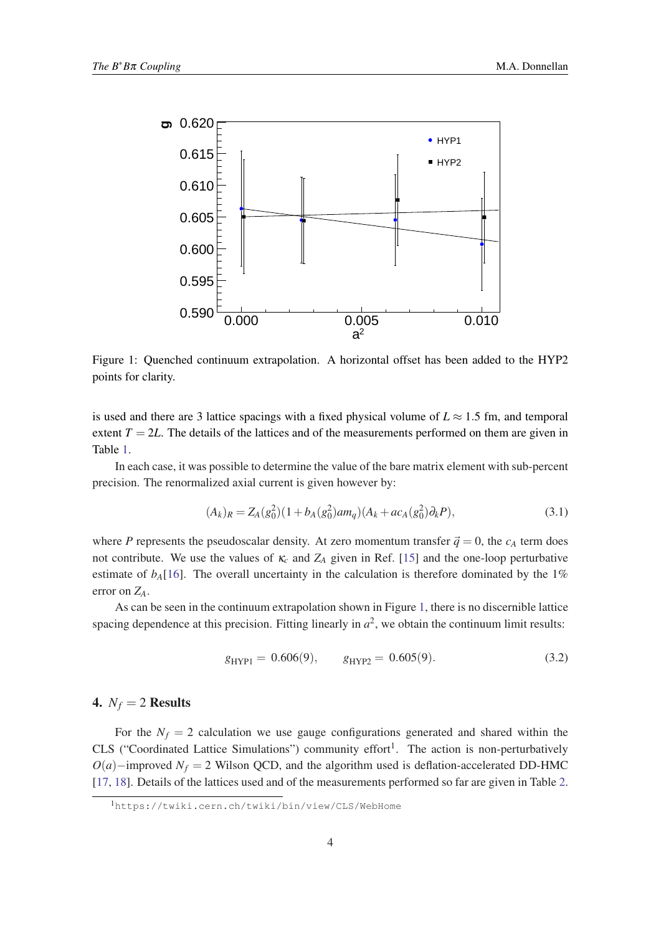

Figure 1: Quenched continuum extrapolation. A horizontal offset has been added to the HYP2 points for clarity.

is used and there are 3 lattice spacings with a fixed physical volume of  $L \approx 1.5$  fm, and temporal extent  $T = 2L$ . The details of the lattices and of the measurements performed on them are given in Table [1](#page-2-0).

In each case, it was possible to determine the value of the bare matrix element with sub-percent precision. The renormalized axial current is given however by:

$$
(A_k)_R = Z_A(g_0^2)(1 + b_A(g_0^2)am_q)(A_k + ac_A(g_0^2)\partial_k P),
$$
\n(3.1)

where *P* represents the pseudoscalar density. At zero momentum transfer  $\vec{q} = 0$ , the  $c_A$  term does not contribute. We use the values of κ*<sup>c</sup>* and *Z<sup>A</sup>* given in Ref. [\[15\]](#page-6-0) and the one-loop perturbative estimate of  $b_A$ [[16\]](#page-6-0). The overall uncertainty in the calculation is therefore dominated by the 1% error on *ZA*.

As can be seen in the continuum extrapolation shown in Figure 1, there is no discernible lattice spacing dependence at this precision. Fitting linearly in  $a^2$ , we obtain the continuum limit results:

$$
g_{\text{HYP1}} = 0.606(9), \qquad g_{\text{HYP2}} = 0.605(9). \tag{3.2}
$$

## 4.  $N_f = 2$  Results

For the  $N_f = 2$  calculation we use gauge configurations generated and shared within the CLS ("Coordinated Lattice Simulations") community effort<sup>1</sup>. The action is non-perturbatively  $O(a)$ −improved  $N_f = 2$  Wilson QCD, and the algorithm used is deflation-accelerated DD-HMC [[17,](#page-6-0) [18\]](#page-6-0). Details of the lattices used and of the measurements performed so far are given in Table [2](#page-4-0).

<sup>1</sup>https://twiki.cern.ch/twiki/bin/view/CLS/WebHome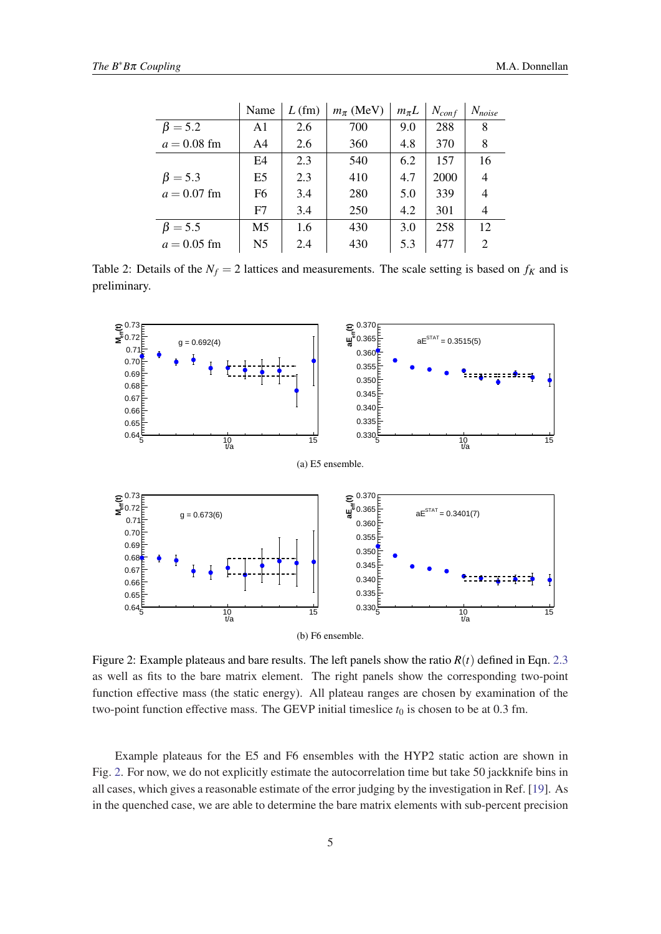<span id="page-4-0"></span>

|               | Name           | $L$ (fm) | $m_{\pi}$ (MeV) | $m_{\pi}L$ | $N_{conf}$ | $N_{noise}$ |
|---------------|----------------|----------|-----------------|------------|------------|-------------|
| $\beta = 5.2$ | A1             | 2.6      | 700             | 9.0        | 288        | 8           |
| $a = 0.08$ fm | A4             | 2.6      | 360             | 4.8        | 370        | 8           |
|               | E4             | 2.3      | 540             | 6.2        | 157        | 16          |
| $\beta = 5.3$ | E <sub>5</sub> | 2.3      | 410             | 4.7        | 2000       | 4           |
| $a = 0.07$ fm | F6             | 3.4      | 280             | 5.0        | 339        | 4           |
|               | F7             | 3.4      | 250             | 4.2        | 301        | 4           |
| $\beta = 5.5$ | M5             | 1.6      | 430             | 3.0        | 258        | 12          |
| $a = 0.05$ fm | N <sub>5</sub> | 2.4      | 430             | 5.3        | 477        | 2           |

Table 2: Details of the  $N_f = 2$  lattices and measurements. The scale setting is based on  $f_K$  and is preliminary.



Figure 2: Example plateaus and bare results. The left panels show the ratio *R*(*t*) defined in Eqn. [2.3](#page-2-0) as well as fits to the bare matrix element. The right panels show the corresponding two-point function effective mass (the static energy). All plateau ranges are chosen by examination of the two-point function effective mass. The GEVP initial timeslice  $t_0$  is chosen to be at 0.3 fm.

Example plateaus for the E5 and F6 ensembles with the HYP2 static action are shown in Fig. 2. For now, we do not explicitly estimate the autocorrelation time but take 50 jackknife bins in all cases, which gives a reasonable estimate of the error judging by the investigation in Ref. [\[19](#page-6-0)]. As in the quenched case, we are able to determine the bare matrix elements with sub-percent precision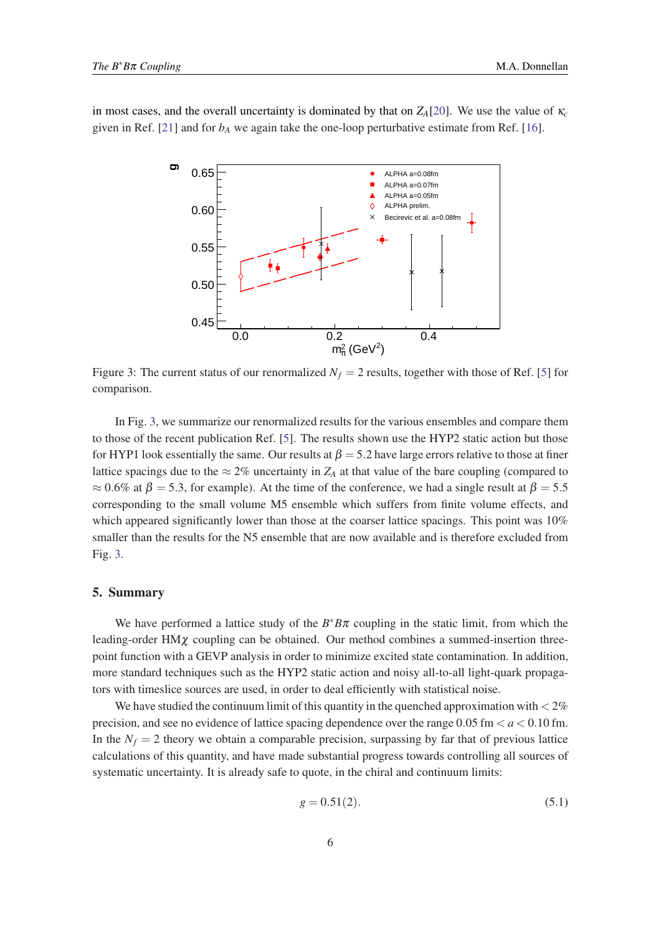in most cases, and the overall uncertainty is dominated by that on  $Z_A[20]$  $Z_A[20]$  $Z_A[20]$ . We use the value of  $\kappa_c$ given in Ref. [[21\]](#page-6-0) and for  $b_A$  we again take the one-loop perturbative estimate from Ref. [[16\]](#page-6-0).



Figure 3: The current status of our renormalized  $N_f = 2$  results, together with those of Ref. [\[5\]](#page-6-0) for comparison.

In Fig. 3, we summarize our renormalized results for the various ensembles and compare them to those of the recent publication Ref. [\[5\]](#page-6-0). The results shown use the HYP2 static action but those for HYP1 look essentially the same. Our results at  $\beta = 5.2$  have large errors relative to those at finer lattice spacings due to the  $\approx 2\%$  uncertainty in  $Z_A$  at that value of the bare coupling (compared to  $\approx 0.6\%$  at  $\beta = 5.3$ , for example). At the time of the conference, we had a single result at  $\beta = 5.5$ corresponding to the small volume M5 ensemble which suffers from finite volume effects, and which appeared significantly lower than those at the coarser lattice spacings. This point was 10% smaller than the results for the N5 ensemble that are now available and is therefore excluded from Fig. 3.

## 5. Summary

We have performed a lattice study of the  $B^*B\pi$  coupling in the static limit, from which the leading-order HMχ coupling can be obtained. Our method combines a summed-insertion threepoint function with a GEVP analysis in order to minimize excited state contamination. In addition, more standard techniques such as the HYP2 static action and noisy all-to-all light-quark propagators with timeslice sources are used, in order to deal efficiently with statistical noise.

We have studied the continuum limit of this quantity in the quenched approximation with  $\lt 2\%$ precision, and see no evidence of lattice spacing dependence over the range  $0.05$  fm  $\lt a \lt 0.10$  fm. In the  $N_f = 2$  theory we obtain a comparable precision, surpassing by far that of previous lattice calculations of this quantity, and have made substantial progress towards controlling all sources of systematic uncertainty. It is already safe to quote, in the chiral and continuum limits:

$$
g = 0.51(2). \t(5.1)
$$